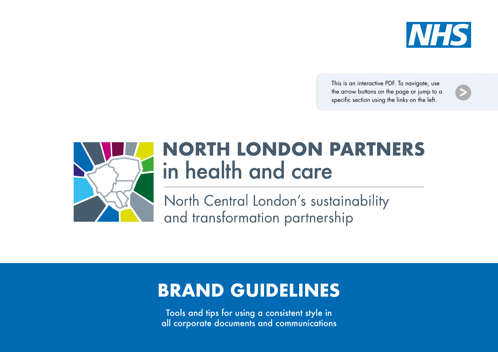

This is an interactive PDF. To navigate, use the arrow buttons on the page or jump to a specific section using the links on the left.





## **NORTH LONDON PARTNERS** in health and care

North Central London's sustainability and transformation partnership

## **BRAND GUIDELINES**

Tools and tips for using a consistent style in all corporate documents and communications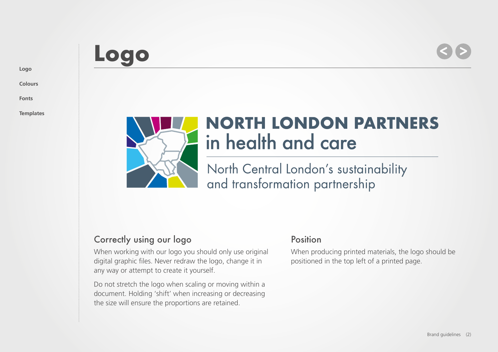#### **[Logo](#page-1-0)**

**[Colours](#page-3-0)**

**[Fonts](#page-4-0)**

**[Templates](#page-5-0)**



## **NORTH LONDON PARTNERS** in health and care

North Central London's sustainability and transformation partnership

### Correctly using our logo

<span id="page-1-0"></span>**Logo**

When working with our logo you should only use original digital graphic files. Never redraw the logo, change it in any way or attempt to create it yourself.

Do not stretch the logo when scaling or moving within a document. Holding 'shift' when increasing or decreasing the size will ensure the proportions are retained.

### Position

When producing printed materials, the logo should be positioned in the top left of a printed page.

**> <sup>&</sup>gt;**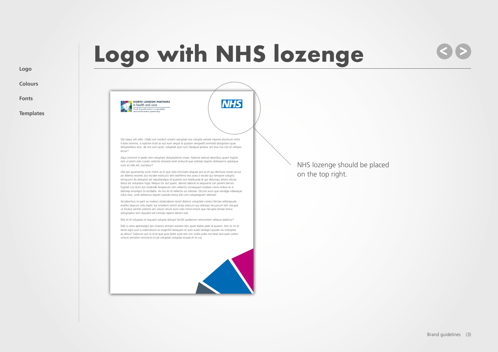# **Logo with NHS lozenge**

**NHS** 

**> <sup>&</sup>gt;**

**[Logo](#page-1-0)**

**[Colours](#page-3-0)**

**[Fonts](#page-4-0)**

**[Templates](#page-5-0)**



Ost eaqui alit odio. Ullab iunt modicti onsent earuptae nos volupta veriate mpores eturitium estiis il eate omnimi, si optinve liciet as aut eum seque la quassin verspedit ommodi dolupitam quas doluptatibus etur, ab inis sum quist, voluptati que num facepud ipitatur am eius ma con et veliquo eiciur?

Aqui omnimil in pedis rem voluptam doluptatecto imaio. Itatione eatiust laboribus quam fugitiis rest ut prem solo cusam volorita simaiost enet enducid que volorep taspitis dolorporro optatque num et odis est, escitatur?

Ulla ipis quamenita sunti intem as et que volo omniates aliquae pra sa et qui dentiure nones accus asi dolenis exceres aut escider estecusci tem exerferro eos acea is excest qui tempore voluptu remquunt ilis doluptat est repudandipis id quamet aut litatibusda di qui dolumqu atisinv elicias dolut est voluptam fuga. Nequo tor aut quam, aborat laborat la sequiania con poreni berum fugitati cus dunt aut molende leceperum rem vellanto consequam iusdaes ciisinv eribus es si dolorep errorepro to eicillabo. As mo te sit vellectis ius volorae. Occum eum que vendige ndeseque volut etur, undi oditamus reprati usandis estius alis cum voluptaquam atentiat.

Accaboritius re parit as molesci sitiaecabore renist dolorro voluptate coresci llectae vellorepuda enditio bearum volo explic tor sinvelent venim anda volorum qui dolorpo recustrum lam volupid ut hicatur sectati volentis am volum rerum eum volo mincil erovit que necupta teniae simus doluptaerio tem repudist vel inimolo reperit denem eat.

Ebis et et voluptas et lisquasit volupta dolupit facidit quiberum necturerem veliquis eatectur?

Edis si volor aperesequi ipis imaions enitasit assitam lam quati blates plab id quassit, tem re int et lanim ligni sunt a volectatium es magnihil iliatquam et aces autet landigni quodis nis moluptas as alitiur? Solorum aut ra id et que quia dolor aute esti con nullia voles mo beat laccusam voleni unture vernatiis minctorro et pe voluptati voluptas eiusae et re cus.

NHS lozenge should be placed on the top right.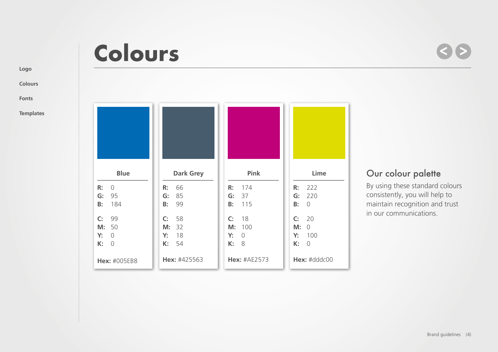# <span id="page-3-0"></span>**Colours**

**> <sup>&</sup>gt;**

## **[Fonts](#page-4-0)**

**[Logo](#page-1-0)**

**[Colours](#page-3-0)**

**[Templates](#page-5-0)**

| <b>Blue</b>    | <b>Dark Grey</b> | Pink                | Lime           |
|----------------|------------------|---------------------|----------------|
| R:             | 66               | R:                  | 222            |
| $\overline{0}$ | R:               | 174                 | R:             |
| 95             | 85               | G:                  | 220            |
| G:             | G:               | 37                  | G:             |
| <b>B:</b>      | 99               | 115                 | B:             |
| 184            | B:               | B:                  | $\Omega$       |
| C <sub>i</sub> | 58               | C <sub>i</sub>      | 20             |
| 99             | C:               | 18                  | C:             |
| 50             | 32               | M:                  | M:             |
| M:             | M:               | 100                 | $\Omega$       |
| Y:             | 18               | Y:                  | 100            |
| $\Omega$       | Y:               | $\overline{0}$      | Y:             |
| K:             | 54               | K:                  | K:             |
| $\overline{0}$ | K:               | 8                   | $\overline{O}$ |
| Hex: #005EB8   | Hex: #425563     | <b>Hex: #AE2573</b> | Hex: #dddc00   |

## Our colour palette

By using these standard colours consistently, you will help to maintain recognition and trust in our communications.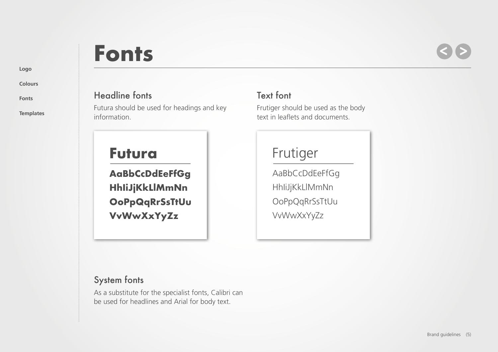#### **[Logo](#page-1-0)**

**[Colours](#page-3-0)**

**[Fonts](#page-4-0)**

**[Templates](#page-5-0)**

# <span id="page-4-0"></span>**Fonts**

## **> <sup>&</sup>gt;**

### Headline fonts

Futura should be used for headings and key information.

## **Futura**

**AaBbCcDdEeFfGg HhIiJjKkLlMmNn OoPpQqRrSsTtUu VvWwXxYyZz**

## Text font

Frutiger should be used as the body text in leaflets and documents.

## Frutiger

AaBbCcDdEeFfGg HhIiJjKkLlMmNn OoPpQqRrSsTtUu VvWwXxYyZz

## System fonts

As a substitute for the specialist fonts, Calibri can be used for headlines and Arial for body text.